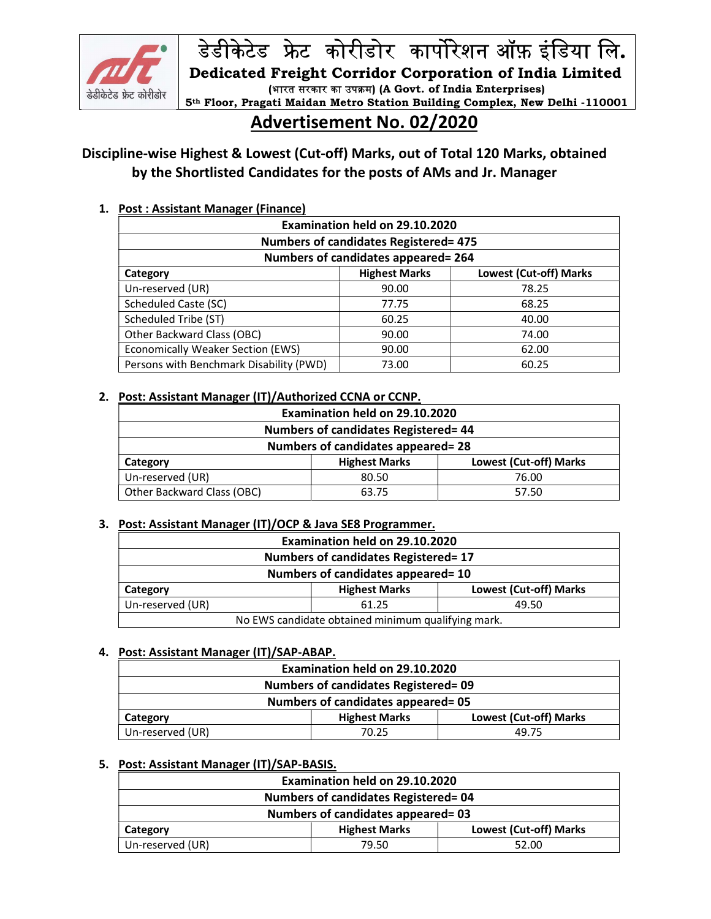

डेडीकेटेड फ्रेट कोरीडोर कार्पोरेशन ऑफ़ इंडिया लि.<br>Dedicated Freight Corridor Corporation of India Limited<br>(भारत सरकार का उपक्रम) (A Govt. of India Enterprises)<br>Advertisement No. 02/2020 (भारत सरकार का उपक्रम) (A Govt. of India Enterprises)

# 5th Floor, Pragati Maidan Metro Station Building Complex, New Delhi -110001

# Advertisement No. 02/2020

# Discipline-wise Highest & Lowest (Cut-off) Marks, out of Total 120 Marks, obtained by the Shortlisted Candidates for the posts of AMs and Jr. Manager

# 1. Post : Assistant Manager (Finance)

| Examination held on 29.10.2020               |                                                       |       |  |
|----------------------------------------------|-------------------------------------------------------|-------|--|
| <b>Numbers of candidates Registered= 475</b> |                                                       |       |  |
| Numbers of candidates appeared= 264          |                                                       |       |  |
| Category                                     | <b>Highest Marks</b><br><b>Lowest (Cut-off) Marks</b> |       |  |
| Un-reserved (UR)                             | 90.00                                                 | 78.25 |  |
| <b>Scheduled Caste (SC)</b>                  | 77.75                                                 | 68.25 |  |
| Scheduled Tribe (ST)                         | 60.25                                                 | 40.00 |  |
| Other Backward Class (OBC)                   | 90.00                                                 | 74.00 |  |
| <b>Economically Weaker Section (EWS)</b>     | 90.00                                                 | 62.00 |  |
| Persons with Benchmark Disability (PWD)      | 73.00                                                 | 60.25 |  |

# 2. Post: Assistant Manager (IT)/Authorized CCNA or CCNP.

| Examination held on 29.10.2020       |                                                |       |  |  |
|--------------------------------------|------------------------------------------------|-------|--|--|
| Numbers of candidates Registered= 44 |                                                |       |  |  |
| Numbers of candidates appeared= 28   |                                                |       |  |  |
| Category                             | Lowest (Cut-off) Marks<br><b>Highest Marks</b> |       |  |  |
| Un-reserved (UR)                     | 80.50                                          | 76.00 |  |  |
| Other Backward Class (OBC)           | 63.75                                          | 57.50 |  |  |

# 3. Post: Assistant Manager (IT)/OCP & Java SE8 Programmer.

| Examination held on 29.10.2020                             |       |       |  |
|------------------------------------------------------------|-------|-------|--|
| <b>Numbers of candidates Registered= 17</b>                |       |       |  |
| Numbers of candidates appeared= 10                         |       |       |  |
| Lowest (Cut-off) Marks<br><b>Highest Marks</b><br>Category |       |       |  |
| Un-reserved (UR)                                           | 61.25 | 49.50 |  |
| No EWS candidate obtained minimum qualifying mark.         |       |       |  |

#### 4. Post: Assistant Manager (IT)/SAP-ABAP.

| Examination held on 29.10.2020                             |       |       |  |
|------------------------------------------------------------|-------|-------|--|
| <b>Numbers of candidates Registered= 09</b>                |       |       |  |
| Numbers of candidates appeared=05                          |       |       |  |
| Lowest (Cut-off) Marks<br><b>Highest Marks</b><br>Category |       |       |  |
| Un-reserved (UR)                                           | 70.25 | 49.75 |  |

#### 5. Post: Assistant Manager (IT)/SAP-BASIS.

| Examination held on 29.10.2020              |                                                |       |  |
|---------------------------------------------|------------------------------------------------|-------|--|
| <b>Numbers of candidates Registered= 04</b> |                                                |       |  |
| Numbers of candidates appeared= 03          |                                                |       |  |
| Category                                    | Lowest (Cut-off) Marks<br><b>Highest Marks</b> |       |  |
| Un-reserved (UR)                            | 79.50                                          | 52.00 |  |